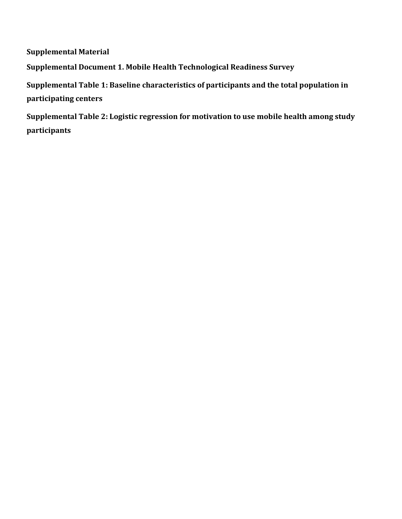**Supplemental Material Supplemental Document 1. Mobile Health Technological Readiness Survey Supplemental Table 1: Baseline characteristics of participants and the total population in participating centers Supplemental Table 2: Logistic regression for motivation to use mobile health among study participants**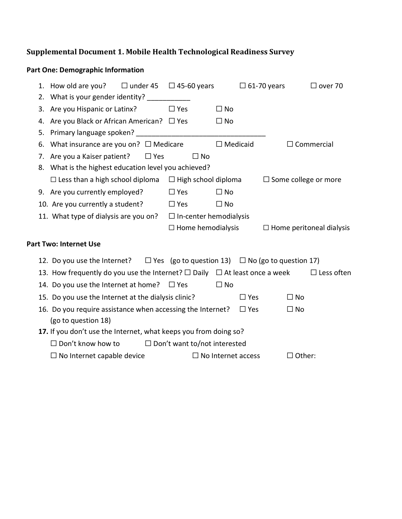## **Supplemental Document 1. Mobile Health Technological Readiness Survey**

## **Part One: Demographic Information**

|    | 1. How old are you? $\Box$ under 45 $\Box$ 45-60 years                                          |                                     |                           | $\Box$ 61-70 years              | $\Box$ over 70    |
|----|-------------------------------------------------------------------------------------------------|-------------------------------------|---------------------------|---------------------------------|-------------------|
|    | 2. What is your gender identity? ___________                                                    |                                     |                           |                                 |                   |
|    | 3. Are you Hispanic or Latinx? $\square$ Yes                                                    |                                     | $\Box$ No                 |                                 |                   |
|    | 4. Are you Black or African American?<br><u>I</u> Yes                                           |                                     | $\Box$ No                 |                                 |                   |
|    |                                                                                                 |                                     |                           |                                 |                   |
| 6. | What insurance are you on? $\Box$ Medicare                                                      |                                     | $\Box$ Medicaid           |                                 | $\Box$ Commercial |
|    | 7. Are you a Kaiser patient?<br>$\Box$ Yes                                                      | $\Box$ No                           |                           |                                 |                   |
|    | 8. What is the highest education level you achieved?                                            |                                     |                           |                                 |                   |
|    | $\Box$ Less than a high school diploma $\Box$ High school diploma                               |                                     |                           | $\Box$ Some college or more     |                   |
|    | 9. Are you currently employed? $\square$ Yes                                                    |                                     | $\Box$ No                 |                                 |                   |
|    | 10. Are you currently a student? $\Box$ Yes                                                     |                                     | $\Box$ No                 |                                 |                   |
|    | 11. What type of dialysis are you on? $\Box$ In-center hemodialysis                             |                                     |                           |                                 |                   |
|    |                                                                                                 | $\Box$ Home hemodialysis            |                           | $\Box$ Home peritoneal dialysis |                   |
|    | <b>Part Two: Internet Use</b>                                                                   |                                     |                           |                                 |                   |
|    | 12. Do you use the Internet? $\square$ Yes (go to question 13) $\square$ No (go to question 17) |                                     |                           |                                 |                   |
|    | 13. How frequently do you use the Internet? $\square$ Daily $\square$ At least once a week      |                                     |                           |                                 | $\Box$ Less often |
|    | 14. Do you use the Internet at home? $\Box$ Yes                                                 |                                     | $\Box$ No                 |                                 |                   |
|    | 15. Do you use the Internet at the dialysis clinic?                                             |                                     | $\square$ Yes             | $\Box$ No                       |                   |
|    | 16. Do you require assistance when accessing the Internet?                                      |                                     | $\square$ Yes             | $\Box$ No                       |                   |
|    | (go to question 18)                                                                             |                                     |                           |                                 |                   |
|    | 17. If you don't use the Internet, what keeps you from doing so?                                |                                     |                           |                                 |                   |
|    | $\square$ Don't know how to                                                                     | $\Box$ Don't want to/not interested |                           |                                 |                   |
|    | $\Box$ No Internet capable device                                                               |                                     | $\Box$ No Internet access | $\Box$ Other:                   |                   |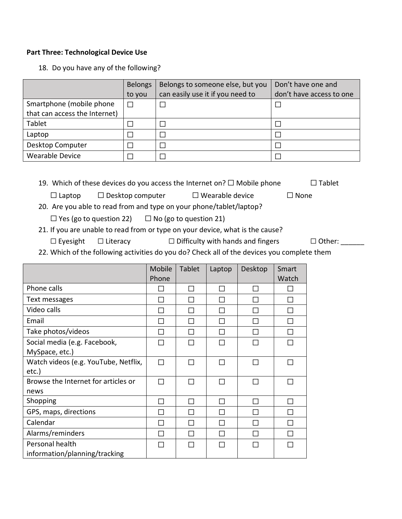## **Part Three: Technological Device Use**

18. Do you have any of the following?

|                               | <b>Belongs</b> | Belongs to someone else, but you | Don't have one and       |
|-------------------------------|----------------|----------------------------------|--------------------------|
|                               | to you         | can easily use it if you need to | don't have access to one |
| Smartphone (mobile phone      | $\Box$         |                                  |                          |
| that can access the Internet) |                |                                  |                          |
| Tablet                        |                |                                  |                          |
| Laptop                        |                |                                  |                          |
| Desktop Computer              |                |                                  |                          |
| <b>Wearable Device</b>        |                |                                  |                          |

19. Which of these devices do you access the Internet on?  $\Box$  Mobile phone  $\Box$  Tablet

 $\Box$  Laptop  $\Box$  Desktop computer  $\Box$  Wearable device  $\Box$  None

- 20. Are you able to read from and type on your phone/tablet/laptop?
	- $\Box$  Yes (go to question 22)  $\Box$  No (go to question 21)
- 21. If you are unable to read from or type on your device, what is the cause?
	- □ Eyesight □ Literacy □ Difficulty with hands and fingers □ Other:

22. Which of the following activities do you do? Check all of the devices you complete them

|                                                  | Mobile<br>Phone | <b>Tablet</b> | Laptop | Desktop | Smart<br>Watch |
|--------------------------------------------------|-----------------|---------------|--------|---------|----------------|
| Phone calls                                      |                 | П             | $\Box$ |         |                |
| Text messages                                    | П               | П             |        |         | П              |
| Video calls                                      | П               | П             | П      | П       | П              |
| Email                                            | П               | П             | П      | П       | П              |
| Take photos/videos                               | П               | П             | П      | П       | П              |
| Social media (e.g. Facebook,<br>MySpace, etc.)   | П               | П             | П      | П       | П              |
| Watch videos (e.g. YouTube, Netflix,<br>etc.)    | П               | П             | П      | П       | П              |
| Browse the Internet for articles or<br>news      | П               | П             | П      | П       | П              |
| Shopping                                         | П               | П             | П      | П       | П              |
| GPS, maps, directions                            | П               | П             | П      | П       | П              |
| Calendar                                         | П               | П             | П      | П       | П              |
| Alarms/reminders                                 | П               | П             | П      | П       | П              |
| Personal health<br>information/planning/tracking | П               | П             | П      | П       | П              |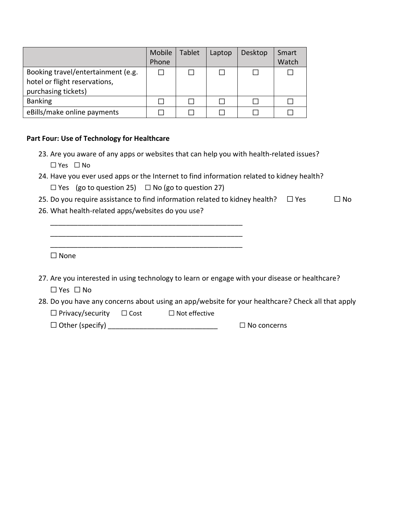|                                                                                            | Mobile<br>Phone | <b>Tablet</b> | Laptop | Desktop | Smart<br>Watch |
|--------------------------------------------------------------------------------------------|-----------------|---------------|--------|---------|----------------|
| Booking travel/entertainment (e.g.<br>hotel or flight reservations,<br>purchasing tickets) |                 |               |        |         |                |
| <b>Banking</b>                                                                             |                 |               |        |         |                |
| eBills/make online payments                                                                |                 |               |        |         |                |

## **Part Four: Use of Technology for Healthcare**

- 23. Are you aware of any apps or websites that can help you with health-related issues? □ Yes □ No
- 24. Have you ever used apps or the Internet to find information related to kidney health?  $\Box$  Yes (go to question 25)  $\Box$  No (go to question 27)
- 25. Do you require assistance to find information related to kidney health?  $\Box$  Yes  $\Box$  No
- 26. What health-related apps/websites do you use?

\_\_\_\_\_\_\_\_\_\_\_\_\_\_\_\_\_\_\_\_\_\_\_\_\_\_\_\_\_\_\_\_\_\_\_\_\_\_\_\_\_\_\_\_\_\_\_\_\_ \_\_\_\_\_\_\_\_\_\_\_\_\_\_\_\_\_\_\_\_\_\_\_\_\_\_\_\_\_\_\_\_\_\_\_\_\_\_\_\_\_\_\_\_\_\_\_\_\_ \_\_\_\_\_\_\_\_\_\_\_\_\_\_\_\_\_\_\_\_\_\_\_\_\_\_\_\_\_\_\_\_\_\_\_\_\_\_\_\_\_\_\_\_\_\_\_\_\_

□ None

- 27. Are you interested in using technology to learn or engage with your disease or healthcare? □ Yes □ No
- 28. Do you have any concerns about using an app/website for your healthcare? Check all that apply

□ Privacy/security □ Cost □ Not effective

□ Other (specify) \_\_\_\_\_\_\_\_\_\_\_\_\_\_\_\_\_\_\_\_\_\_\_\_\_\_\_\_ □ No concerns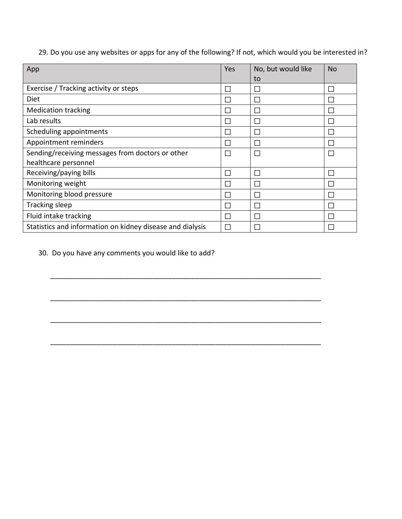29. Do you use any websites or apps for any of the following? If not, which would you be interested in?

| App                                                       | Yes | No, but would like<br>to | <b>No</b> |
|-----------------------------------------------------------|-----|--------------------------|-----------|
| Exercise / Tracking activity or steps                     |     | П                        |           |
| Diet                                                      |     |                          |           |
| <b>Medication tracking</b>                                |     |                          |           |
| Lab results                                               |     | $\mathbf{L}$             |           |
| Scheduling appointments                                   |     | $\Box$                   |           |
| Appointment reminders                                     |     |                          |           |
| Sending/receiving messages from doctors or other          | П   | П                        |           |
| healthcare personnel<br>Receiving/paying bills            | П   | $\Box$                   |           |
| Monitoring weight                                         |     | $\mathbf{L}$             |           |
| Monitoring blood pressure                                 |     | П                        |           |
| Tracking sleep                                            |     | П                        |           |
| Fluid intake tracking                                     |     | $\mathbf{L}$             |           |
| Statistics and information on kidney disease and dialysis |     |                          |           |

\_\_\_\_\_\_\_\_\_\_\_\_\_\_\_\_\_\_\_\_\_\_\_\_\_\_\_\_\_\_\_\_\_\_\_\_\_\_\_\_\_\_\_\_\_\_\_\_\_\_\_\_\_\_\_\_\_\_\_\_\_\_\_\_\_\_\_\_\_

\_\_\_\_\_\_\_\_\_\_\_\_\_\_\_\_\_\_\_\_\_\_\_\_\_\_\_\_\_\_\_\_\_\_\_\_\_\_\_\_\_\_\_\_\_\_\_\_\_\_\_\_\_\_\_\_\_\_\_\_\_\_\_\_\_\_\_\_\_

\_\_\_\_\_\_\_\_\_\_\_\_\_\_\_\_\_\_\_\_\_\_\_\_\_\_\_\_\_\_\_\_\_\_\_\_\_\_\_\_\_\_\_\_\_\_\_\_\_\_\_\_\_\_\_\_\_\_\_\_\_\_\_\_\_\_\_\_\_

30. Do you have any comments you would like to add?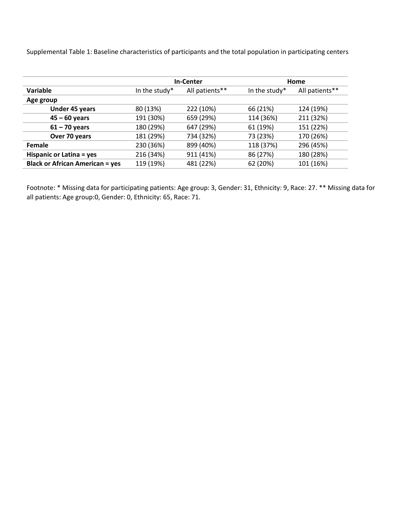Supplemental Table 1: Baseline characteristics of participants and the total population in participating centers

|                                        | <b>In-Center</b> |                |               | Home           |
|----------------------------------------|------------------|----------------|---------------|----------------|
| Variable                               | In the study*    | All patients** | In the study* | All patients** |
| Age group                              |                  |                |               |                |
| <b>Under 45 years</b>                  | 80 (13%)         | 222 (10%)      | 66 (21%)      | 124 (19%)      |
| $45 - 60$ years                        | 191 (30%)        | 659 (29%)      | 114 (36%)     | 211 (32%)      |
| $61 - 70$ years                        | 180 (29%)        | 647 (29%)      | 61 (19%)      | 151 (22%)      |
| Over 70 years                          | 181 (29%)        | 734 (32%)      | 73 (23%)      | 170 (26%)      |
| Female                                 | 230 (36%)        | 899 (40%)      | 118 (37%)     | 296 (45%)      |
| Hispanic or Latina = yes               | 216 (34%)        | 911 (41%)      | 86 (27%)      | 180 (28%)      |
| <b>Black or African American = yes</b> | 119 (19%)        | 481 (22%)      | 62 (20%)      | 101 (16%)      |

Footnote: \* Missing data for participating patients: Age group: 3, Gender: 31, Ethnicity: 9, Race: 27. \*\* Missing data for all patients: Age group:0, Gender: 0, Ethnicity: 65, Race: 71.